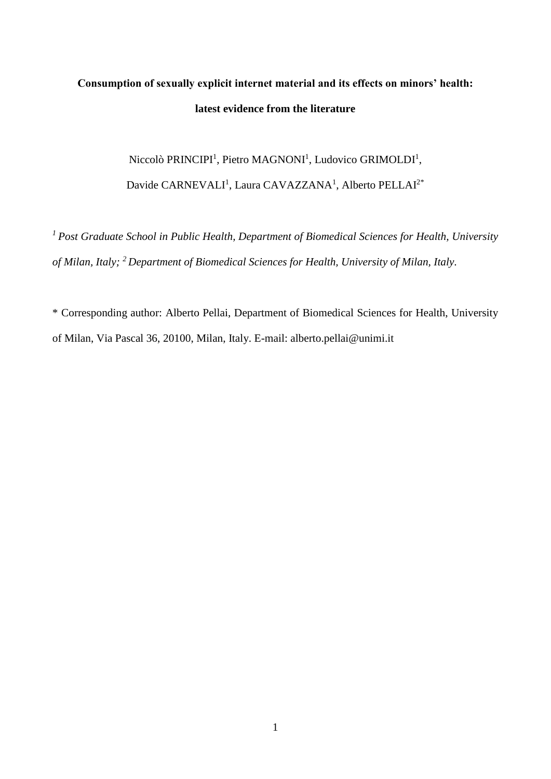# **Consumption of sexually explicit internet material and its effects on minors' health: latest evidence from the literature**

Niccolò PRINCIPI<sup>1</sup>, Pietro MAGNONI<sup>1</sup>, Ludovico GRIMOLDI<sup>1</sup>, Davide CARNEVALI<sup>1</sup>, Laura CAVAZZANA<sup>1</sup>, Alberto PELLAI<sup>2\*</sup>

*<sup>1</sup>Post Graduate School in Public Health, Department of Biomedical Sciences for Health, University of Milan, Italy; <sup>2</sup>Department of Biomedical Sciences for Health, University of Milan, Italy.* 

\* Corresponding author: Alberto Pellai, Department of Biomedical Sciences for Health, University of Milan, Via Pascal 36, 20100, Milan, Italy. E-mail: alberto.pellai@unimi.it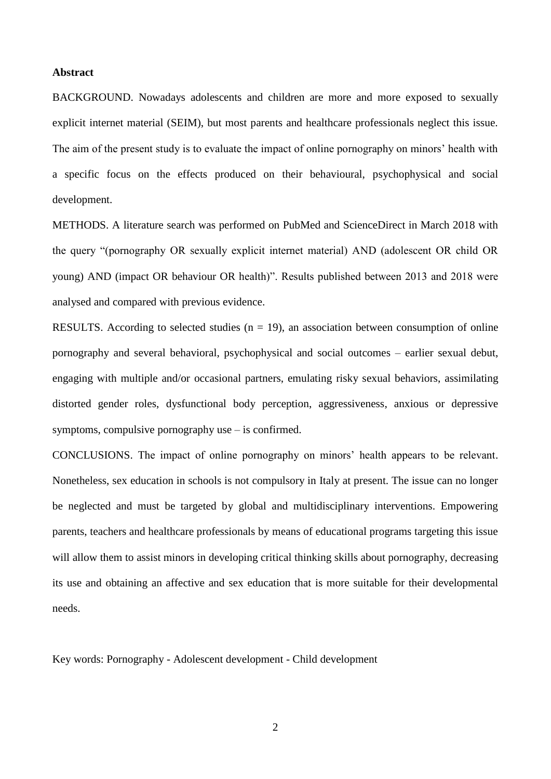## **Abstract**

BACKGROUND. Nowadays adolescents and children are more and more exposed to sexually explicit internet material (SEIM), but most parents and healthcare professionals neglect this issue. The aim of the present study is to evaluate the impact of online pornography on minors' health with a specific focus on the effects produced on their behavioural, psychophysical and social development.

METHODS. A literature search was performed on PubMed and ScienceDirect in March 2018 with the query "(pornography OR sexually explicit internet material) AND (adolescent OR child OR young) AND (impact OR behaviour OR health)". Results published between 2013 and 2018 were analysed and compared with previous evidence.

RESULTS. According to selected studies  $(n = 19)$ , an association between consumption of online pornography and several behavioral, psychophysical and social outcomes – earlier sexual debut, engaging with multiple and/or occasional partners, emulating risky sexual behaviors, assimilating distorted gender roles, dysfunctional body perception, aggressiveness, anxious or depressive symptoms, compulsive pornography use – is confirmed.

CONCLUSIONS. The impact of online pornography on minors' health appears to be relevant. Nonetheless, sex education in schools is not compulsory in Italy at present. The issue can no longer be neglected and must be targeted by global and multidisciplinary interventions. Empowering parents, teachers and healthcare professionals by means of educational programs targeting this issue will allow them to assist minors in developing critical thinking skills about pornography, decreasing its use and obtaining an affective and sex education that is more suitable for their developmental needs.

Key words: Pornography - Adolescent development - Child development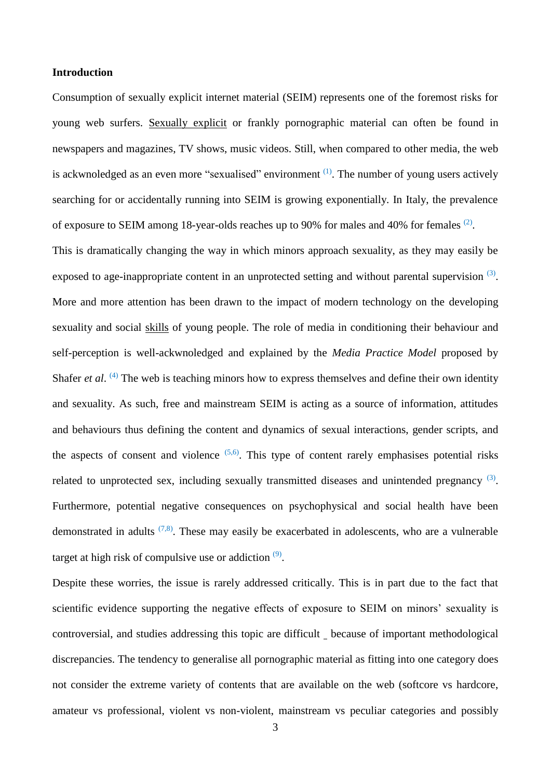## **Introduction**

Consumption of sexually explicit internet material (SEIM) represents one of the foremost risks for young web surfers. Sexually explicit or frankly pornographic material can often be found in newspapers and magazines, TV shows, music videos. Still, when compared to other media, the web is ackwnoledged as an even more "sexualised" environment  $(1)$ . The number of young users actively searching for or accidentally running into SEIM is growing exponentially. In Italy, the prevalence of exposure to SEIM among 18-year-olds reaches up to 90% for males and 40% for females  $(2)$ .

This is dramatically changing the way in which minors approach sexuality, as they may easily be exposed to age-inappropriate content in an unprotected setting and without parental supervision <sup>[\(3\)](#page-12-2)</sup>. More and more attention has been drawn to the impact of modern technology on the developing sexuality and social skills of young people. The role of media in conditioning their behaviour and self-perception is well-ackwnoledged and explained by the *Media Practice Model* proposed by Shafer *et al.* <sup>[\(4\)](#page-12-3)</sup> The web is teaching minors how to express themselves and define their own identity and sexuality. As such, free and mainstream SEIM is acting as a source of information, attitudes and behaviours thus defining the content and dynamics of sexual interactions, gender scripts, and the aspects of consent and violence  $(5,6)$  $(5,6)$ . This type of content rarely emphasises potential risks related to unprotected sex, including sexually transmitted diseases and unintended pregnancy  $(3)$ . Furthermore, potential negative consequences on psychophysical and social health have been demonstrated in adults  $(7,8)$  $(7,8)$ . These may easily be exacerbated in adolescents, who are a vulnerable target at high risk of compulsive use or addiction  $(9)$ .

Despite these worries, the issue is rarely addressed critically. This is in part due to the fact that scientific evidence supporting the negative effects of exposure to SEIM on minors' sexuality is controversial, and studies addressing this topic are difficult because of important methodological discrepancies. The tendency to generalise all pornographic material as fitting into one category does not consider the extreme variety of contents that are available on the web (softcore vs hardcore, amateur vs professional, violent vs non-violent, mainstream vs peculiar categories and possibly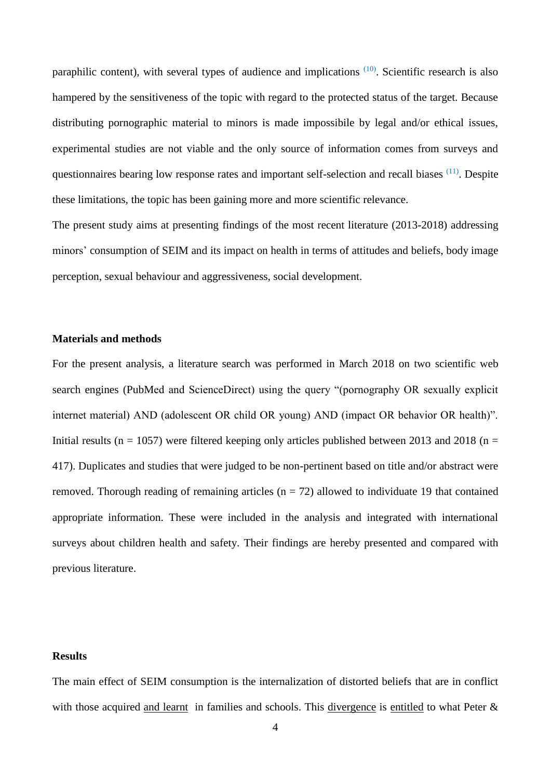paraphilic content), with several types of audience and implications <sup>[\(10\)](#page-13-0)</sup>. Scientific research is also hampered by the sensitiveness of the topic with regard to the protected status of the target. Because distributing pornographic material to minors is made impossibile by legal and/or ethical issues, experimental studies are not viable and the only source of information comes from surveys and questionnaires bearing low response rates and important self-selection and recall biases <sup>[\(11\)](#page-13-1)</sup>. Despite these limitations, the topic has been gaining more and more scientific relevance.

The present study aims at presenting findings of the most recent literature (2013-2018) addressing minors' consumption of SEIM and its impact on health in terms of attitudes and beliefs, body image perception, sexual behaviour and aggressiveness, social development.

# **Materials and methods**

For the present analysis, a literature search was performed in March 2018 on two scientific web search engines (PubMed and ScienceDirect) using the query "(pornography OR sexually explicit internet material) AND (adolescent OR child OR young) AND (impact OR behavior OR health)". Initial results ( $n = 1057$ ) were filtered keeping only articles published between 2013 and 2018 ( $n =$ 417). Duplicates and studies that were judged to be non-pertinent based on title and/or abstract were removed. Thorough reading of remaining articles ( $n = 72$ ) allowed to individuate 19 that contained appropriate information. These were included in the analysis and integrated with international surveys about children health and safety. Their findings are hereby presented and compared with previous literature.

## **Results**

The main effect of SEIM consumption is the internalization of distorted beliefs that are in conflict with those acquired and learnt in families and schools. This divergence is entitled to what Peter &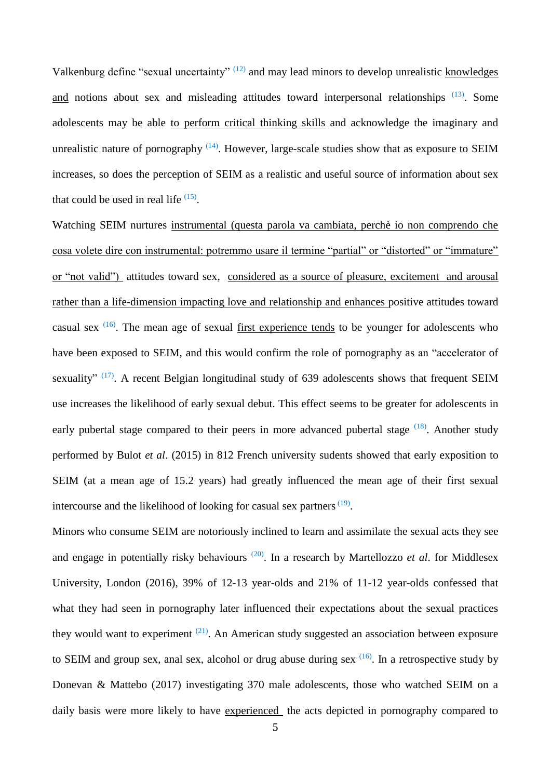Valkenburg define "sexual uncertainty" <sup>[\(12\)](#page-13-2)</sup> and may lead minors to develop unrealistic knowledges and notions about sex and misleading attitudes toward interpersonal relationships [\(13\)](#page-13-3). Some adolescents may be able to perform critical thinking skills and acknowledge the imaginary and unrealistic nature of pornography  $(14)$ . However, large-scale studies show that as exposure to SEIM increases, so does the perception of SEIM as a realistic and useful source of information about sex that could be used in real life  $(15)$ .

Watching SEIM nurtures instrumental (questa parola va cambiata, perchè io non comprendo che cosa volete dire con instrumental: potremmo usare il termine "partial" or "distorted" or "immature" or "not valid") attitudes toward sex, considered as a source of pleasure, excitement and arousal rather than a life-dimension impacting love and relationship and enhances positive attitudes toward casual sex  $(16)$ . The mean age of sexual first experience tends to be younger for adolescents who have been exposed to SEIM, and this would confirm the role of pornography as an "accelerator of sexuality"  $(17)$ . A recent Belgian longitudinal study of 639 adolescents shows that frequent SEIM use increases the likelihood of early sexual debut. This effect seems to be greater for adolescents in early pubertal stage compared to their peers in more advanced pubertal stage <sup>[\(18\)](#page-13-8)</sup>. Another study performed by Bulot *et al*. (2015) in 812 French university sudents showed that early exposition to SEIM (at a mean age of 15.2 years) had greatly influenced the mean age of their first sexual intercourse and the likelihood of looking for casual sex partners  $(19)$ .

Minors who consume SEIM are notoriously inclined to learn and assimilate the sexual acts they see and engage in potentially risky behaviours<sup>[\(20\)](#page-13-10)</sup>. In a research by Martellozzo *et al.* for Middlesex University, London (2016), 39% of 12-13 year-olds and 21% of 11-12 year-olds confessed that what they had seen in pornography later influenced their expectations about the sexual practices they would want to experiment  $(21)$ . An American study suggested an association between exposure to SEIM and group sex, anal sex, alcohol or drug abuse during sex  $(16)$ . In a retrospective study by Donevan & Mattebo (2017) investigating 370 male adolescents, those who watched SEIM on a daily basis were more likely to have experienced the acts depicted in pornography compared to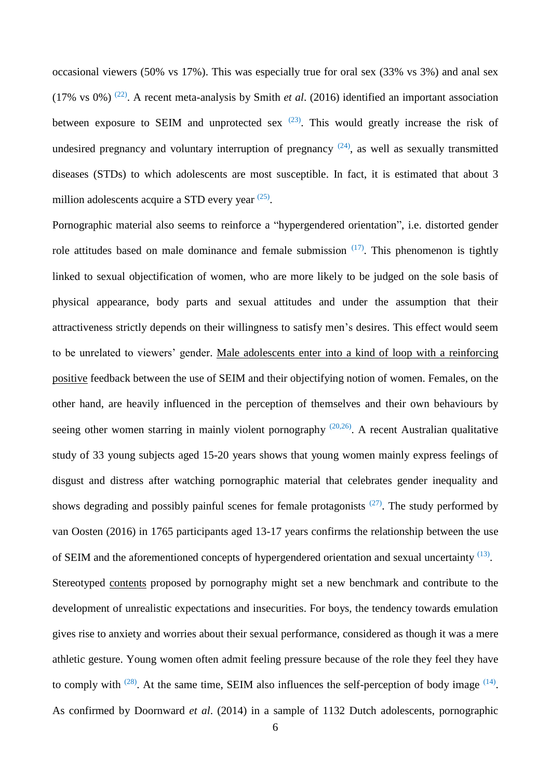occasional viewers (50% vs 17%). This was especially true for oral sex (33% vs 3%) and anal sex (17% vs 0%) [\(22\)](#page-14-0) . A recent meta-analysis by Smith *et al*. (2016) identified an important association between exposure to SEIM and unprotected sex  $(23)$ . This would greatly increase the risk of undesired pregnancy and voluntary interruption of pregnancy  $(24)$ , as well as sexually transmitted diseases (STDs) to which adolescents are most susceptible. In fact, it is estimated that about 3 million adolescents acquire a STD every year <sup>[\(25\)](#page-14-3)</sup>.

Pornographic material also seems to reinforce a "hypergendered orientation", i.e. distorted gender role attitudes based on male dominance and female submission  $(17)$ . This phenomenon is tightly linked to sexual objectification of women, who are more likely to be judged on the sole basis of physical appearance, body parts and sexual attitudes and under the assumption that their attractiveness strictly depends on their willingness to satisfy men's desires. This effect would seem to be unrelated to viewers' gender. Male adolescents enter into a kind of loop with a reinforcing positive feedback between the use of SEIM and their objectifying notion of women. Females, on the other hand, are heavily influenced in the perception of themselves and their own behaviours by seeing other women starring in mainly violent pornography  $(20,26)$  $(20,26)$ . A recent Australian qualitative study of 33 young subjects aged 15-20 years shows that young women mainly express feelings of disgust and distress after watching pornographic material that celebrates gender inequality and shows degrading and possibly painful scenes for female protagonists  $(27)$ . The study performed by van Oosten (2016) in 1765 participants aged 13-17 years confirms the relationship between the use of SEIM and the aforementioned concepts of hypergendered orientation and sexual uncertainty [\(13\)](#page-13-3). Stereotyped contents proposed by pornography might set a new benchmark and contribute to the development of unrealistic expectations and insecurities. For boys, the tendency towards emulation gives rise to anxiety and worries about their sexual performance, considered as though it was a mere athletic gesture. Young women often admit feeling pressure because of the role they feel they have to comply with  $(28)$ . At the same time, SEIM also influences the self-perception of body image  $(14)$ . As confirmed by Doornward *et al*. (2014) in a sample of 1132 Dutch adolescents, pornographic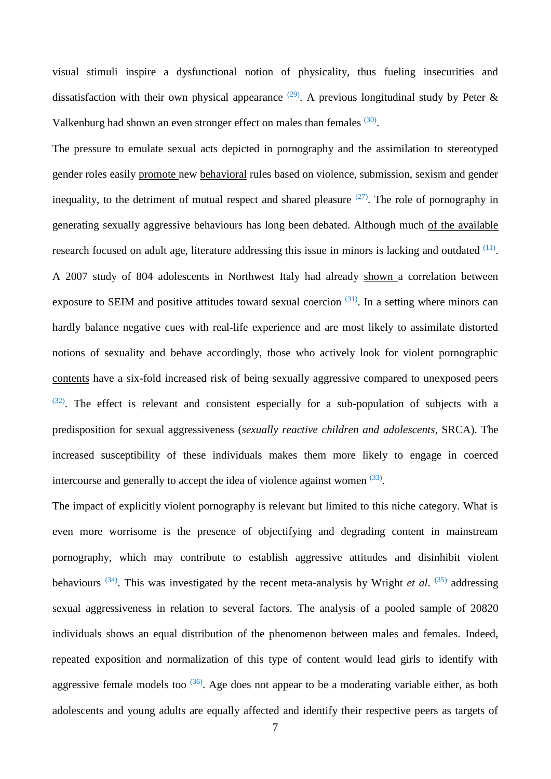visual stimuli inspire a dysfunctional notion of physicality, thus fueling insecurities and dissatisfaction with their own physical appearance  $(29)$ . A previous longitudinal study by Peter & Valkenburg had shown an even stronger effect on males than females <sup>[\(30\)](#page-14-8)</sup>.

The pressure to emulate sexual acts depicted in pornography and the assimilation to stereotyped gender roles easily promote new behavioral rules based on violence, submission, sexism and gender inequality, to the detriment of mutual respect and shared pleasure  $(27)$ . The role of pornography in generating sexually aggressive behaviours has long been debated. Although much of the available research focused on adult age, literature addressing this issue in minors is lacking and outdated  $(11)$ . A 2007 study of 804 adolescents in Northwest Italy had already shown a correlation between exposure to SEIM and positive attitudes toward sexual coercion  $(31)$ . In a setting where minors can hardly balance negative cues with real-life experience and are most likely to assimilate distorted notions of sexuality and behave accordingly, those who actively look for violent pornographic contents have a six-fold increased risk of being sexually aggressive compared to unexposed peers  $(32)$ . The effect is relevant and consistent especially for a sub-population of subjects with a predisposition for sexual aggressiveness (*sexually reactive children and adolescents*, SRCA). The increased susceptibility of these individuals makes them more likely to engage in coerced intercourse and generally to accept the idea of violence against women  $(33)$ .

The impact of explicitly violent pornography is relevant but limited to this niche category. What is even more worrisome is the presence of objectifying and degrading content in mainstream pornography, which may contribute to establish aggressive attitudes and disinhibit violent behaviours  $(34)$ . This was investigated by the recent meta-analysis by Wright *et al.*  $(35)$  addressing sexual aggressiveness in relation to several factors. The analysis of a pooled sample of 20820 individuals shows an equal distribution of the phenomenon between males and females. Indeed, repeated exposition and normalization of this type of content would lead girls to identify with aggressive female models too  $(36)$ . Age does not appear to be a moderating variable either, as both adolescents and young adults are equally affected and identify their respective peers as targets of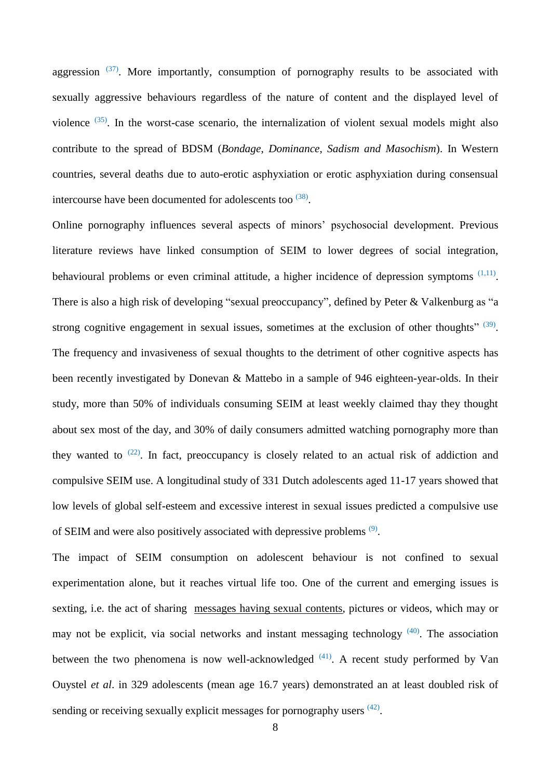aggression  $(37)$ . More importantly, consumption of pornography results to be associated with sexually aggressive behaviours regardless of the nature of content and the displayed level of violence  $(35)$ . In the worst-case scenario, the internalization of violent sexual models might also contribute to the spread of BDSM (*Bondage*, *Dominance*, *Sadism and Masochism*). In Western countries, several deaths due to auto-erotic asphyxiation or erotic asphyxiation during consensual intercourse have been documented for adolescents too  $(38)$ .

Online pornography influences several aspects of minors' psychosocial development. Previous literature reviews have linked consumption of SEIM to lower degrees of social integration, behavioural problems or even criminal attitude, a higher incidence of depression symptoms  $(1,11)$  $(1,11)$ . There is also a high risk of developing "sexual preoccupancy", defined by Peter & Valkenburg as "a strong cognitive engagement in sexual issues, sometimes at the exclusion of other thoughts"  $(39)$ . The frequency and invasiveness of sexual thoughts to the detriment of other cognitive aspects has been recently investigated by Donevan & Mattebo in a sample of 946 eighteen-year-olds. In their study, more than 50% of individuals consuming SEIM at least weekly claimed thay they thought about sex most of the day, and 30% of daily consumers admitted watching pornography more than they wanted to  $(22)$ . In fact, preoccupancy is closely related to an actual risk of addiction and compulsive SEIM use. A longitudinal study of 331 Dutch adolescents aged 11-17 years showed that low levels of global self-esteem and excessive interest in sexual issues predicted a compulsive use of SEIM and were also positively associated with depressive problems  $(9)$ .

The impact of SEIM consumption on adolescent behaviour is not confined to sexual experimentation alone, but it reaches virtual life too. One of the current and emerging issues is sexting, i.e. the act of sharing messages having sexual contents, pictures or videos, which may or may not be explicit, via social networks and instant messaging technology [\(40\)](#page-15-9). The association between the two phenomena is now well-acknowledged  $(41)$ . A recent study performed by Van Ouystel *et al*. in 329 adolescents (mean age 16.7 years) demonstrated an at least doubled risk of sending or receiving sexually explicit messages for pornography users <sup>[\(42\)](#page-16-0)</sup>.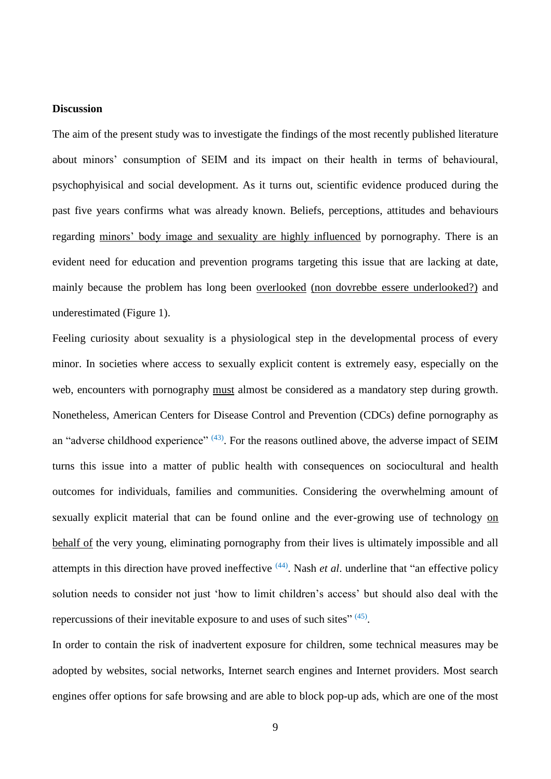## **Discussion**

The aim of the present study was to investigate the findings of the most recently published literature about minors' consumption of SEIM and its impact on their health in terms of behavioural, psychophyisical and social development. As it turns out, scientific evidence produced during the past five years confirms what was already known. Beliefs, perceptions, attitudes and behaviours regarding minors' body image and sexuality are highly influenced by pornography. There is an evident need for education and prevention programs targeting this issue that are lacking at date, mainly because the problem has long been overlooked (non dovrebbe essere underlooked?) and underestimated (Figure 1).

Feeling curiosity about sexuality is a physiological step in the developmental process of every minor. In societies where access to sexually explicit content is extremely easy, especially on the web, encounters with pornography must almost be considered as a mandatory step during growth. Nonetheless, American Centers for Disease Control and Prevention (CDCs) define pornography as an "adverse childhood experience"  $(43)$ . For the reasons outlined above, the adverse impact of SEIM turns this issue into a matter of public health with consequences on sociocultural and health outcomes for individuals, families and communities. Considering the overwhelming amount of sexually explicit material that can be found online and the ever-growing use of technology on behalf of the very young, eliminating pornography from their lives is ultimately impossible and all attempts in this direction have proved ineffective <sup>[\(44\)](#page-16-2)</sup>. Nash *et al*. underline that "an effective policy solution needs to consider not just 'how to limit children's access' but should also deal with the repercussions of their inevitable exposure to and uses of such sites"<sup>[\(45\)](#page-16-3)</sup>.

In order to contain the risk of inadvertent exposure for children, some technical measures may be adopted by websites, social networks, Internet search engines and Internet providers. Most search engines offer options for safe browsing and are able to block pop-up ads, which are one of the most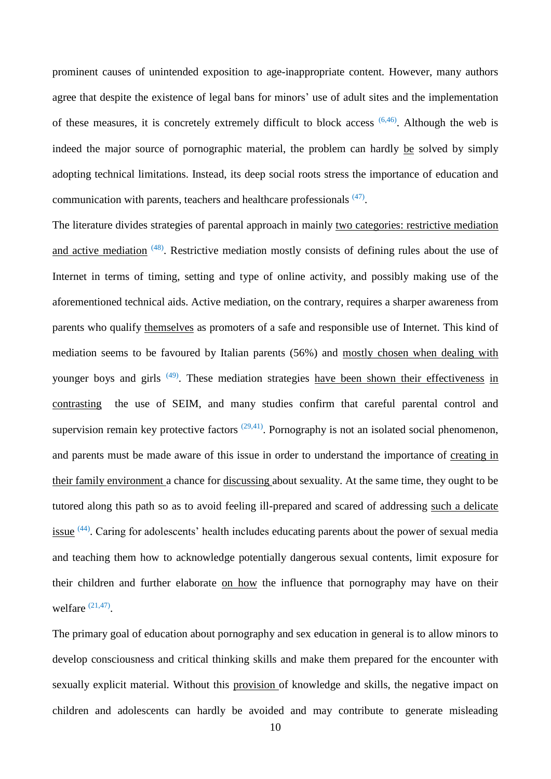prominent causes of unintended exposition to age-inappropriate content. However, many authors agree that despite the existence of legal bans for minors' use of adult sites and the implementation of these measures, it is concretely extremely difficult to block access  $(6,46)$  $(6,46)$ . Although the web is indeed the major source of pornographic material, the problem can hardly be solved by simply adopting technical limitations. Instead, its deep social roots stress the importance of education and communication with parents, teachers and healthcare professionals <sup>[\(47\)](#page-16-5)</sup>.

The literature divides strategies of parental approach in mainly two categories: restrictive mediation and active mediation <sup>[\(48\)](#page-16-6)</sup>. Restrictive mediation mostly consists of defining rules about the use of Internet in terms of timing, setting and type of online activity, and possibly making use of the aforementioned technical aids. Active mediation, on the contrary, requires a sharper awareness from parents who qualify themselves as promoters of a safe and responsible use of Internet. This kind of mediation seems to be favoured by Italian parents (56%) and mostly chosen when dealing with younger boys and girls <sup>[\(49\)](#page-16-7)</sup>. These mediation strategies have been shown their effectiveness in contrasting the use of SEIM, and many studies confirm that careful parental control and supervision remain key protective factors  $(29,41)$  $(29,41)$ . Pornography is not an isolated social phenomenon, and parents must be made aware of this issue in order to understand the importance of creating in their family environment a chance for discussing about sexuality. At the same time, they ought to be tutored along this path so as to avoid feeling ill-prepared and scared of addressing such a delicate  $\frac{1}{2}$  issue  $(44)$ . Caring for adolescents' health includes educating parents about the power of sexual media and teaching them how to acknowledge potentially dangerous sexual contents, limit exposure for their children and further elaborate on how the influence that pornography may have on their welfare  $(21,47)$  $(21,47)$ .

The primary goal of education about pornography and sex education in general is to allow minors to develop consciousness and critical thinking skills and make them prepared for the encounter with sexually explicit material. Without this provision of knowledge and skills, the negative impact on children and adolescents can hardly be avoided and may contribute to generate misleading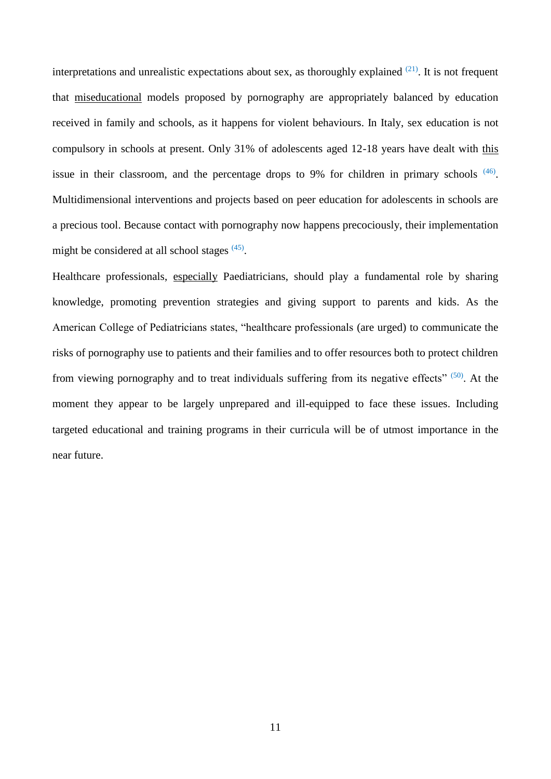interpretations and unrealistic expectations about sex, as thoroughly explained  $(21)$ . It is not frequent that miseducational models proposed by pornography are appropriately balanced by education received in family and schools, as it happens for violent behaviours. In Italy, sex education is not compulsory in schools at present. Only 31% of adolescents aged 12-18 years have dealt with this issue in their classroom, and the percentage drops to 9% for children in primary schools  $(46)$ . Multidimensional interventions and projects based on peer education for adolescents in schools are a precious tool. Because contact with pornography now happens precociously, their implementation might be considered at all school stages [\(45\)](#page-16-3).

Healthcare professionals, especially Paediatricians, should play a fundamental role by sharing knowledge, promoting prevention strategies and giving support to parents and kids. As the American College of Pediatricians states, "healthcare professionals (are urged) to communicate the risks of pornography use to patients and their families and to offer resources both to protect children from viewing pornography and to treat individuals suffering from its negative effects" [\(50\)](#page-16-8). At the moment they appear to be largely unprepared and ill-equipped to face these issues. Including targeted educational and training programs in their curricula will be of utmost importance in the near future.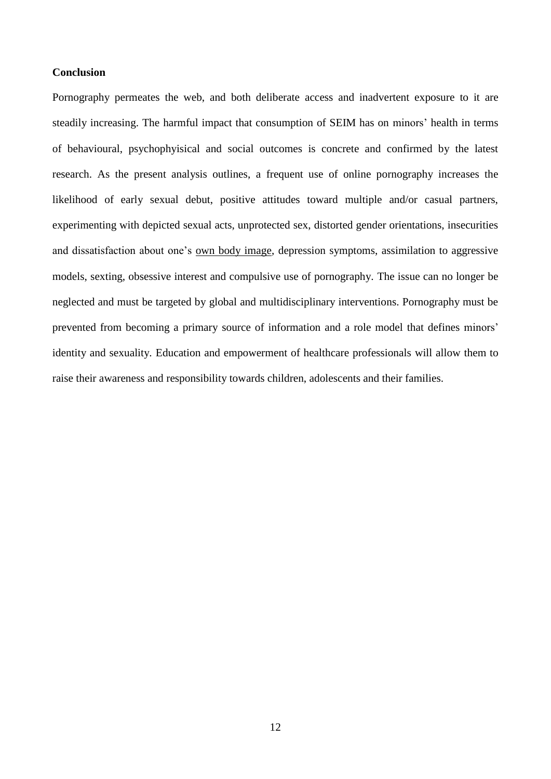# **Conclusion**

Pornography permeates the web, and both deliberate access and inadvertent exposure to it are steadily increasing. The harmful impact that consumption of SEIM has on minors' health in terms of behavioural, psychophyisical and social outcomes is concrete and confirmed by the latest research. As the present analysis outlines, a frequent use of online pornography increases the likelihood of early sexual debut, positive attitudes toward multiple and/or casual partners, experimenting with depicted sexual acts, unprotected sex, distorted gender orientations, insecurities and dissatisfaction about one's own body image, depression symptoms, assimilation to aggressive models, sexting, obsessive interest and compulsive use of pornography. The issue can no longer be neglected and must be targeted by global and multidisciplinary interventions. Pornography must be prevented from becoming a primary source of information and a role model that defines minors' identity and sexuality. Education and empowerment of healthcare professionals will allow them to raise their awareness and responsibility towards children, adolescents and their families.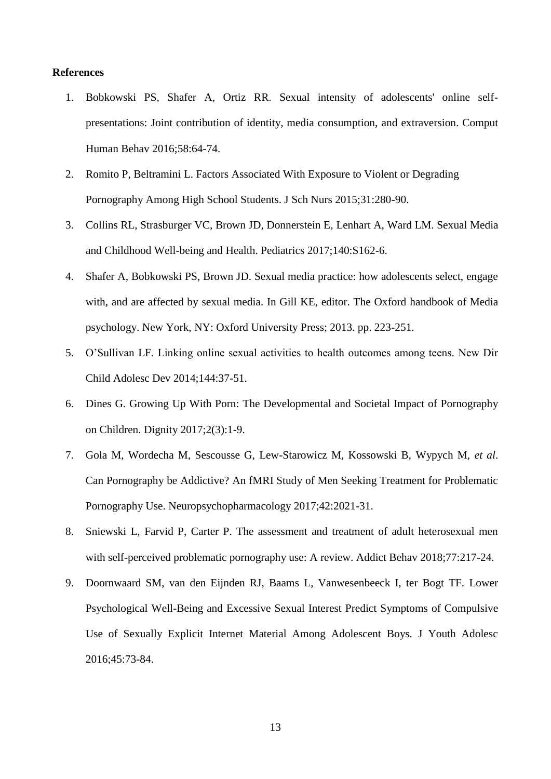## **References**

- <span id="page-12-0"></span>1. Bobkowski PS, Shafer A, Ortiz RR. Sexual intensity of adolescents' online selfpresentations: Joint contribution of identity, media consumption, and extraversion. Comput Human Behav 2016;58:64-74.
- <span id="page-12-1"></span>2. Romito P, Beltramini L. Factors Associated With Exposure to Violent or Degrading Pornography Among High School Students. J Sch Nurs 2015;31:280-90.
- <span id="page-12-2"></span>3. Collins RL, Strasburger VC, Brown JD, Donnerstein E, Lenhart A, Ward LM. Sexual Media and Childhood Well-being and Health. Pediatrics 2017;140:S162-6.
- <span id="page-12-3"></span>4. Shafer A, Bobkowski PS, Brown JD. Sexual media practice: how adolescents select, engage with, and are affected by sexual media. In Gill KE, editor. The Oxford handbook of Media psychology. New York, NY: Oxford University Press; 2013. pp. 223-251.
- <span id="page-12-4"></span>5. O'Sullivan LF. Linking online sexual activities to health outcomes among teens. New Dir Child Adolesc Dev 2014;144:37-51.
- <span id="page-12-5"></span>6. Dines G. Growing Up With Porn: The Developmental and Societal Impact of Pornography on Children. Dignity 2017;2(3):1-9.
- <span id="page-12-6"></span>7. Gola M, Wordecha M, Sescousse G, Lew-Starowicz M, Kossowski B, Wypych M, *et al*. Can Pornography be Addictive? An fMRI Study of Men Seeking Treatment for Problematic Pornography Use. Neuropsychopharmacology 2017;42:2021-31.
- <span id="page-12-7"></span>8. Sniewski L, Farvid P, Carter P. The assessment and treatment of adult heterosexual men with self-perceived problematic pornography use: A review. Addict Behav 2018;77:217-24.
- <span id="page-12-8"></span>9. Doornwaard SM, van den Eijnden RJ, Baams L, Vanwesenbeeck I, ter Bogt TF. Lower Psychological Well-Being and Excessive Sexual Interest Predict Symptoms of Compulsive Use of Sexually Explicit Internet Material Among Adolescent Boys. J Youth Adolesc 2016;45:73-84.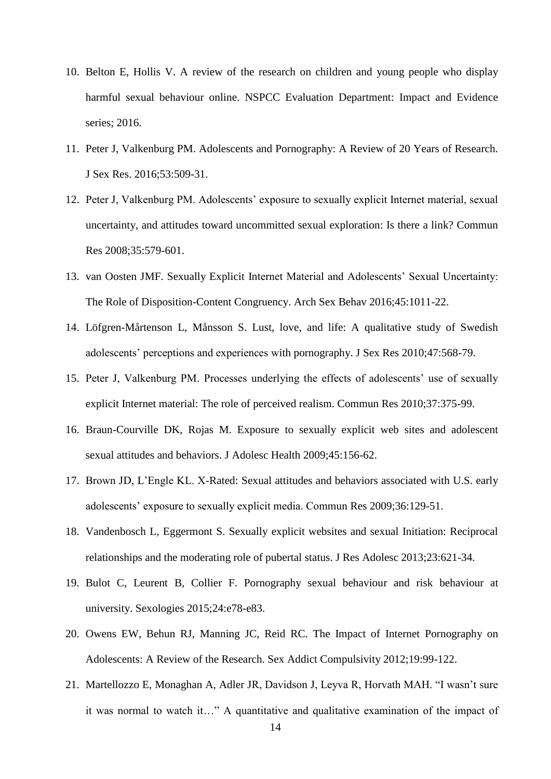- <span id="page-13-0"></span>10. Belton E, Hollis V. A review of the research on children and young people who display harmful sexual behaviour online. NSPCC Evaluation Department: Impact and Evidence series; 2016.
- <span id="page-13-1"></span>11. Peter J, Valkenburg PM. Adolescents and Pornography: A Review of 20 Years of Research. J Sex Res. 2016;53:509-31.
- <span id="page-13-2"></span>12. Peter J, Valkenburg PM. Adolescents' exposure to sexually explicit Internet material, sexual uncertainty, and attitudes toward uncommitted sexual exploration: Is there a link? Commun Res 2008;35:579-601.
- <span id="page-13-3"></span>13. van Oosten JMF. Sexually Explicit Internet Material and Adolescents' Sexual Uncertainty: The Role of Disposition-Content Congruency. Arch Sex Behav 2016;45:1011-22.
- <span id="page-13-4"></span>14. Löfgren-Mårtenson L, Månsson S. Lust, love, and life: A qualitative study of Swedish adolescents' perceptions and experiences with pornography. J Sex Res 2010;47:568-79.
- <span id="page-13-5"></span>15. Peter J, Valkenburg PM. Processes underlying the effects of adolescents' use of sexually explicit Internet material: The role of perceived realism. Commun Res 2010;37:375-99.
- <span id="page-13-6"></span>16. Braun-Courville DK, Rojas M. Exposure to sexually explicit web sites and adolescent sexual attitudes and behaviors. J Adolesc Health 2009;45:156-62.
- <span id="page-13-7"></span>17. Brown JD, L'Engle KL. X-Rated: Sexual attitudes and behaviors associated with U.S. early adolescents' exposure to sexually explicit media. Commun Res 2009;36:129-51.
- <span id="page-13-8"></span>18. Vandenbosch L, Eggermont S. Sexually explicit websites and sexual Initiation: Reciprocal relationships and the moderating role of pubertal status. J Res Adolesc 2013;23:621-34.
- <span id="page-13-9"></span>19. Bulot C, Leurent B, Collier F. Pornography sexual behaviour and risk behaviour at university. Sexologies 2015;24:e78-e83.
- <span id="page-13-10"></span>20. Owens EW, Behun RJ, Manning JC, Reid RC. The Impact of Internet Pornography on Adolescents: A Review of the Research. Sex Addict Compulsivity 2012;19:99-122.
- <span id="page-13-11"></span>21. Martellozzo E, Monaghan A, Adler JR, Davidson J, Leyva R, Horvath MAH. "I wasn't sure it was normal to watch it…" A quantitative and qualitative examination of the impact of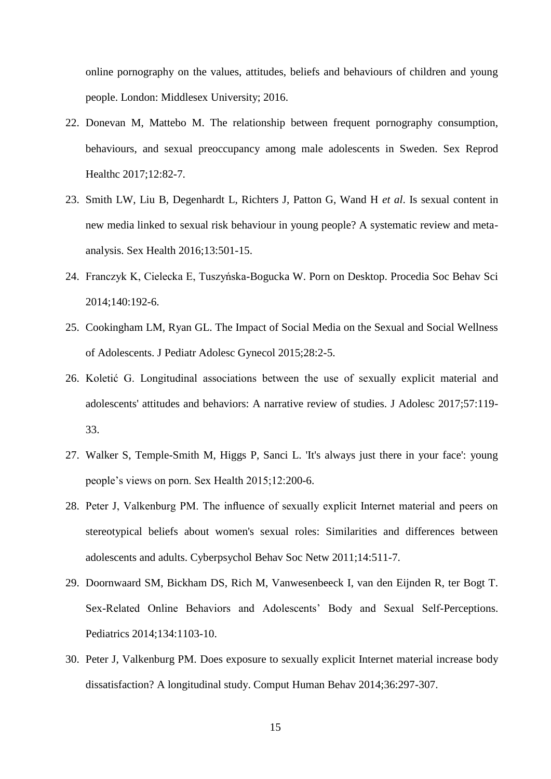online pornography on the values, attitudes, beliefs and behaviours of children and young people. London: Middlesex University; 2016.

- <span id="page-14-0"></span>22. Donevan M, Mattebo M. The relationship between frequent pornography consumption, behaviours, and sexual preoccupancy among male adolescents in Sweden. Sex Reprod Healthc 2017;12:82-7.
- <span id="page-14-1"></span>23. Smith LW, Liu B, Degenhardt L, Richters J, Patton G, Wand H *et al*. Is sexual content in new media linked to sexual risk behaviour in young people? A systematic review and metaanalysis. Sex Health 2016;13:501-15.
- <span id="page-14-2"></span>24. Franczyk K, Cielecka E, Tuszyńska-Bogucka W. Porn on Desktop. Procedia Soc Behav Sci 2014;140:192-6.
- <span id="page-14-3"></span>25. Cookingham LM, Ryan GL. The Impact of Social Media on the Sexual and Social Wellness of Adolescents. J Pediatr Adolesc Gynecol 2015;28:2-5.
- <span id="page-14-4"></span>26. Koletić G. Longitudinal associations between the use of sexually explicit material and adolescents' attitudes and behaviors: A narrative review of studies. J Adolesc 2017;57:119- 33.
- <span id="page-14-5"></span>27. Walker S, Temple-Smith M, Higgs P, Sanci L. 'It's always just there in your face': young people's views on porn. Sex Health 2015;12:200-6.
- <span id="page-14-6"></span>28. Peter J, Valkenburg PM. The influence of sexually explicit Internet material and peers on stereotypical beliefs about women's sexual roles: Similarities and differences between adolescents and adults. Cyberpsychol Behav Soc Netw 2011;14:511-7.
- <span id="page-14-7"></span>29. Doornwaard SM, Bickham DS, Rich M, Vanwesenbeeck I, van den Eijnden R, ter Bogt T. Sex-Related Online Behaviors and Adolescents' Body and Sexual Self-Perceptions. Pediatrics 2014;134:1103-10.
- <span id="page-14-8"></span>30. Peter J, Valkenburg PM. Does exposure to sexually explicit Internet material increase body dissatisfaction? A longitudinal study. Comput Human Behav 2014;36:297-307.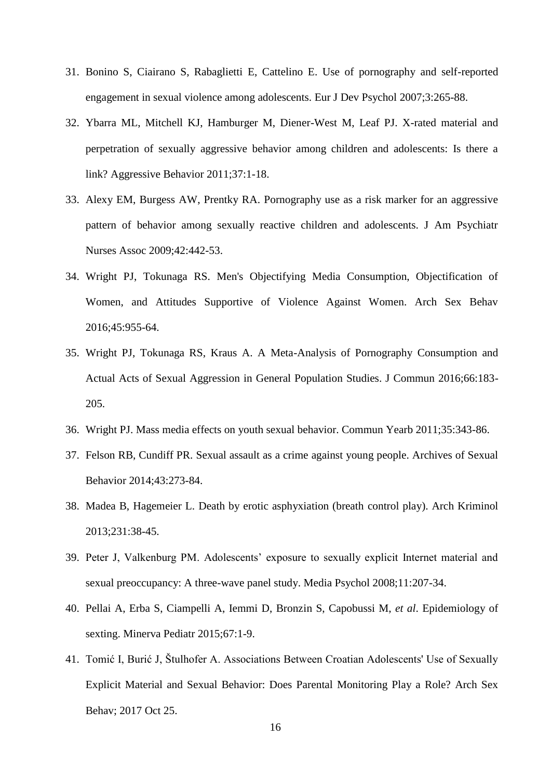- <span id="page-15-0"></span>31. Bonino S, Ciairano S, Rabaglietti E, Cattelino E. Use of pornography and self-reported engagement in sexual violence among adolescents. Eur J Dev Psychol 2007;3:265-88.
- <span id="page-15-1"></span>32. Ybarra ML, Mitchell KJ, Hamburger M, Diener-West M, Leaf PJ. X-rated material and perpetration of sexually aggressive behavior among children and adolescents: Is there a link? Aggressive Behavior 2011;37:1-18.
- <span id="page-15-2"></span>33. Alexy EM, Burgess AW, Prentky RA. Pornography use as a risk marker for an aggressive pattern of behavior among sexually reactive children and adolescents. J Am Psychiatr Nurses Assoc 2009;42:442-53.
- <span id="page-15-3"></span>34. Wright PJ, Tokunaga RS. Men's Objectifying Media Consumption, Objectification of Women, and Attitudes Supportive of Violence Against Women. Arch Sex Behav 2016;45:955-64.
- <span id="page-15-4"></span>35. Wright PJ, Tokunaga RS, Kraus A. A Meta-Analysis of Pornography Consumption and Actual Acts of Sexual Aggression in General Population Studies. J Commun 2016;66:183- 205.
- <span id="page-15-5"></span>36. Wright PJ. Mass media effects on youth sexual behavior. Commun Yearb 2011;35:343-86.
- <span id="page-15-6"></span>37. Felson RB, Cundiff PR. Sexual assault as a crime against young people. Archives of Sexual Behavior 2014;43:273-84.
- <span id="page-15-7"></span>38. Madea B, Hagemeier L. Death by erotic asphyxiation (breath control play). Arch Kriminol 2013;231:38-45.
- <span id="page-15-8"></span>39. Peter J, Valkenburg PM. Adolescents' exposure to sexually explicit Internet material and sexual preoccupancy: A three-wave panel study. Media Psychol 2008;11:207-34.
- <span id="page-15-9"></span>40. Pellai A, Erba S, Ciampelli A, Iemmi D, Bronzin S, Capobussi M, *et al*. Epidemiology of sexting. Minerva Pediatr 2015;67:1-9.
- <span id="page-15-10"></span>41. Tomić I, Burić J, Štulhofer A. Associations Between Croatian Adolescents' Use of Sexually Explicit Material and Sexual Behavior: Does Parental Monitoring Play a Role? Arch Sex Behav; 2017 Oct 25.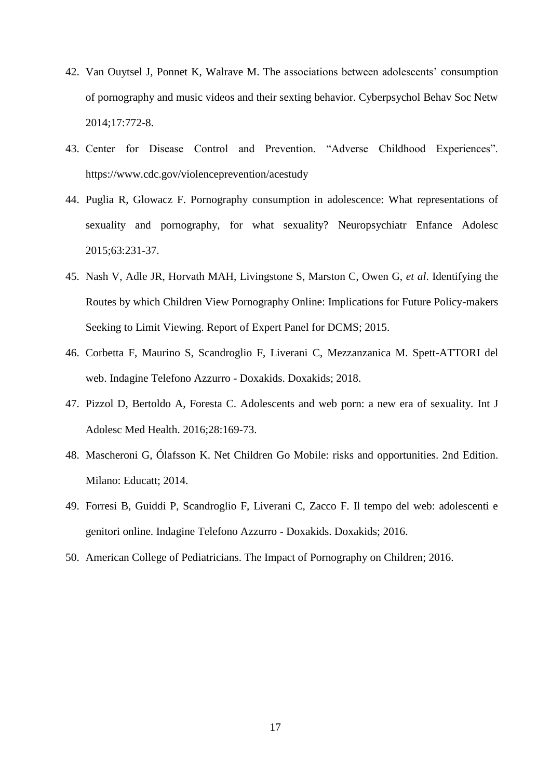- <span id="page-16-0"></span>42. Van Ouytsel J, Ponnet K, Walrave M. The associations between adolescents' consumption of pornography and music videos and their sexting behavior. Cyberpsychol Behav Soc Netw 2014;17:772-8.
- <span id="page-16-1"></span>43. Center for Disease Control and Prevention. "Adverse Childhood Experiences". https://www.cdc.gov/violenceprevention/acestudy
- <span id="page-16-2"></span>44. Puglia R, Glowacz F. Pornography consumption in adolescence: What representations of sexuality and pornography, for what sexuality? Neuropsychiatr Enfance Adolesc 2015;63:231-37.
- <span id="page-16-3"></span>45. Nash V, Adle JR, Horvath MAH, Livingstone S, Marston C, Owen G, *et al*. Identifying the Routes by which Children View Pornography Online: Implications for Future Policy-makers Seeking to Limit Viewing. Report of Expert Panel for DCMS; 2015.
- <span id="page-16-4"></span>46. Corbetta F, Maurino S, Scandroglio F, Liverani C, Mezzanzanica M. Spett-ATTORI del web. Indagine Telefono Azzurro - Doxakids. Doxakids; 2018.
- <span id="page-16-5"></span>47. Pizzol D, Bertoldo A, Foresta C. Adolescents and web porn: a new era of sexuality. Int J Adolesc Med Health. 2016;28:169-73.
- <span id="page-16-6"></span>48. Mascheroni G, Ólafsson K. Net Children Go Mobile: risks and opportunities. 2nd Edition. Milano: Educatt; 2014.
- <span id="page-16-7"></span>49. Forresi B, Guiddi P, Scandroglio F, Liverani C, Zacco F. Il tempo del web: adolescenti e genitori online. Indagine Telefono Azzurro - Doxakids. Doxakids; 2016.
- <span id="page-16-8"></span>50. American College of Pediatricians. The Impact of Pornography on Children; 2016.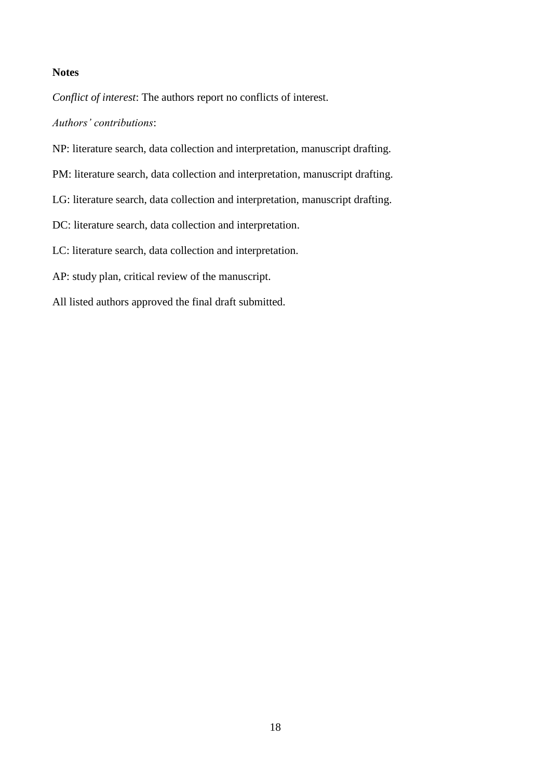# **Notes**

*Conflict of interest*: The authors report no conflicts of interest.

*Authors' contributions*:

- NP: literature search, data collection and interpretation, manuscript drafting.
- PM: literature search, data collection and interpretation, manuscript drafting.
- LG: literature search, data collection and interpretation, manuscript drafting.
- DC: literature search, data collection and interpretation.
- LC: literature search, data collection and interpretation.
- AP: study plan, critical review of the manuscript.
- All listed authors approved the final draft submitted.